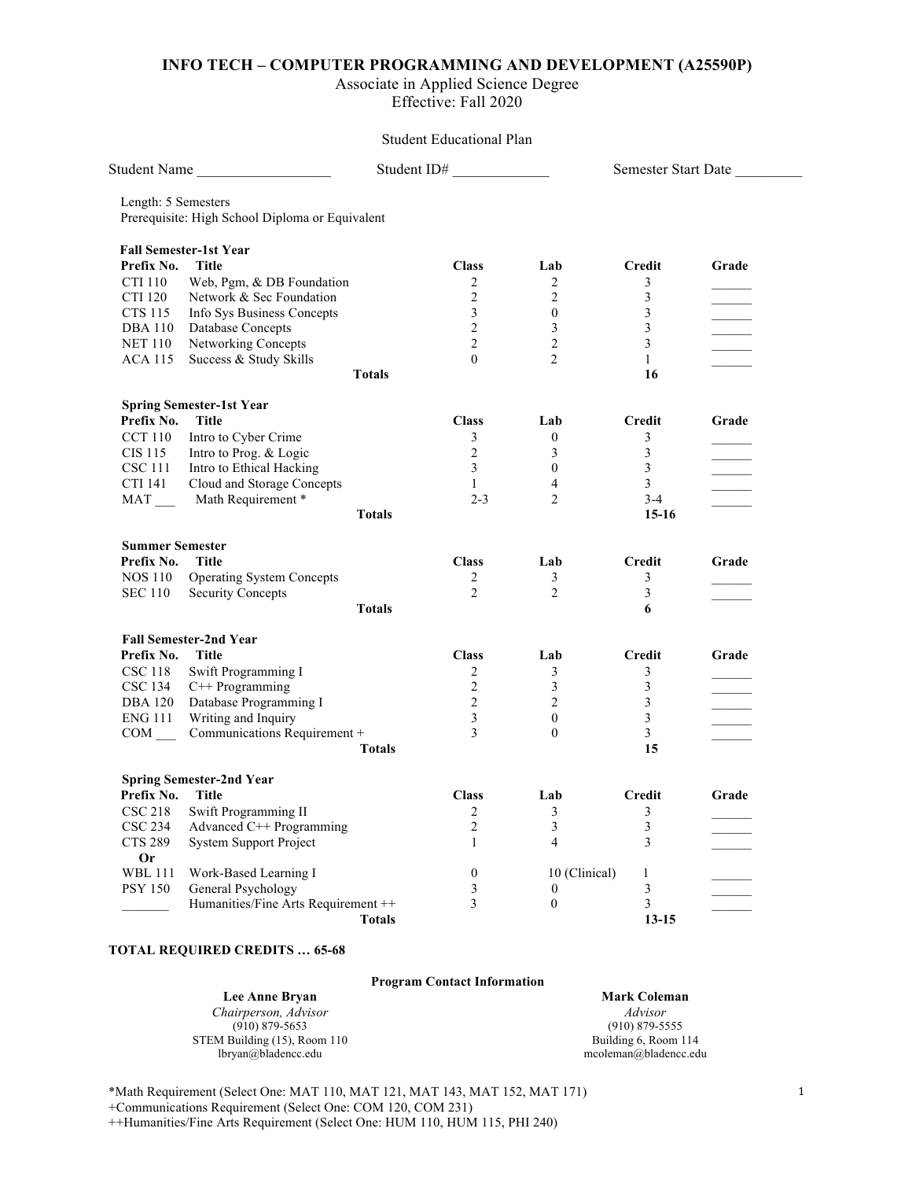### **INFO TECH – COMPUTER PROGRAMMING AND DEVELOPMENT (A25590P)**

#### Associate in Applied Science Degree Effective: Fall 2020

## Student Educational Plan

| Student Name                                                           | Student ID#         |                  |                         | Semester Start Date      |  |
|------------------------------------------------------------------------|---------------------|------------------|-------------------------|--------------------------|--|
| Length: 5 Semesters<br>Prerequisite: High School Diploma or Equivalent |                     |                  |                         |                          |  |
|                                                                        |                     |                  |                         |                          |  |
| <b>Fall Semester-1st Year</b><br><b>Title</b>                          | <b>Class</b>        | Lab              | Credit                  |                          |  |
| Prefix No.                                                             |                     |                  |                         | Grade                    |  |
| <b>CTI 110</b><br>Web, Pgm, & DB Foundation                            | 2<br>$\overline{2}$ | 2                | 3                       |                          |  |
| <b>CTI 120</b><br>Network & Sec Foundation                             |                     | $\overline{2}$   | 3                       |                          |  |
| <b>CTS 115</b><br>Info Sys Business Concepts                           | 3                   | $\mathbf{0}$     | 3                       |                          |  |
| <b>DBA 110</b><br>Database Concepts                                    | 2                   | 3                | 3                       | <b>Contract Contract</b> |  |
| Networking Concepts<br><b>NET 110</b>                                  | 2                   | 2                | 3                       |                          |  |
| Success & Study Skills<br><b>ACA 115</b>                               | $\mathbf{0}$        | $\overline{2}$   | $\mathbf{1}$            |                          |  |
| <b>Totals</b>                                                          |                     |                  | 16                      |                          |  |
| <b>Spring Semester-1st Year</b>                                        |                     |                  |                         |                          |  |
| Prefix No.<br>Title                                                    | <b>Class</b>        | Lab              | Credit                  | Grade                    |  |
| <b>CCT 110</b><br>Intro to Cyber Crime                                 | 3                   | $\boldsymbol{0}$ | 3                       |                          |  |
| Intro to Prog. & Logic<br>CIS 115                                      | $\overline{2}$      | 3                | 3                       |                          |  |
| Intro to Ethical Hacking<br>CSC 111                                    | $\mathfrak{Z}$      | $\boldsymbol{0}$ | 3                       |                          |  |
| CTI 141<br>Cloud and Storage Concepts                                  | $\mathbf{1}$        | $\overline{4}$   | 3                       |                          |  |
| Math Requirement *<br>MAT                                              | $2 - 3$             | 2                | $3 - 4$                 |                          |  |
| <b>Totals</b>                                                          |                     |                  | $15-16$                 |                          |  |
| <b>Summer Semester</b>                                                 |                     |                  |                         |                          |  |
| Prefix No.<br><b>Title</b>                                             | <b>Class</b>        | Lab              | Credit                  | Grade                    |  |
| <b>NOS 110</b><br><b>Operating System Concepts</b>                     | 2                   | $\mathfrak{Z}$   | 3                       |                          |  |
| <b>SEC 110</b><br><b>Security Concepts</b>                             | 2                   | $\overline{2}$   | 3                       |                          |  |
| <b>Totals</b>                                                          |                     |                  | 6                       |                          |  |
|                                                                        |                     |                  |                         |                          |  |
| <b>Fall Semester-2nd Year</b>                                          |                     |                  |                         |                          |  |
| Prefix No.<br><b>Title</b>                                             | <b>Class</b>        | Lab              | Credit                  | Grade                    |  |
| Swift Programming I<br><b>CSC 118</b>                                  | 2                   | 3                | 3                       |                          |  |
| <b>CSC 134</b><br>C++ Programming                                      | $\overline{2}$      | 3                | 3                       | <b>Contract Contract</b> |  |
| <b>DBA 120</b><br>Database Programming I                               | $\overline{2}$      | 2                | 3                       |                          |  |
| Writing and Inquiry<br>ENG 111                                         | 3                   | $\mathbf{0}$     | 3                       |                          |  |
| Communications Requirement +<br>$COM$ <sub>—</sub>                     | 3                   | $\theta$         | 3                       |                          |  |
| <b>Totals</b>                                                          |                     |                  | 15                      |                          |  |
| <b>Spring Semester-2nd Year</b>                                        |                     |                  |                         |                          |  |
| Prefix No.<br><b>Title</b>                                             | <b>Class</b>        | Lab              | <b>Credit</b>           | Grade                    |  |
| <b>CSC 218</b><br>Swift Programming II                                 | $\overline{2}$      | 3                | 3                       |                          |  |
| CSC 234<br>Advanced $C^{++}$ Programming                               | $\overline{2}$      | 3                | $\overline{\mathbf{3}}$ |                          |  |
| <b>CTS 289</b><br>System Support Project                               | $\mathbf{1}$        | $\overline{4}$   | 3                       |                          |  |
| <b>Or</b>                                                              |                     |                  |                         |                          |  |
| Work-Based Learning I<br><b>WBL 111</b>                                | $\boldsymbol{0}$    | 10 (Clinical)    | $\mathbf{1}$            |                          |  |
| <b>PSY 150</b><br>General Psychology                                   | 3                   | $\boldsymbol{0}$ | 3                       |                          |  |
| Humanities/Fine Arts Requirement ++                                    | 3                   | $\boldsymbol{0}$ | 3                       |                          |  |
| <b>Totals</b>                                                          |                     |                  | $13 - 15$               |                          |  |
|                                                                        |                     |                  |                         |                          |  |

#### **TOTAL REQUIRED CREDITS … 65-68**

#### **Program Contact Information**

**Lee Anne Bryan** *Chairperson, Advisor* (910) 879-5653 STEM Building (15), Room 110 lbryan@bladencc.edu

**Mark Coleman** *Advisor* (910) 879-5555 Building 6, Room 114 mcoleman@bladencc.edu

\*Math Requirement (Select One: MAT 110, MAT 121, MAT 143, MAT 152, MAT 171)

+Communications Requirement (Select One: COM 120, COM 231)

++Humanities/Fine Arts Requirement (Select One: HUM 110, HUM 115, PHI 240)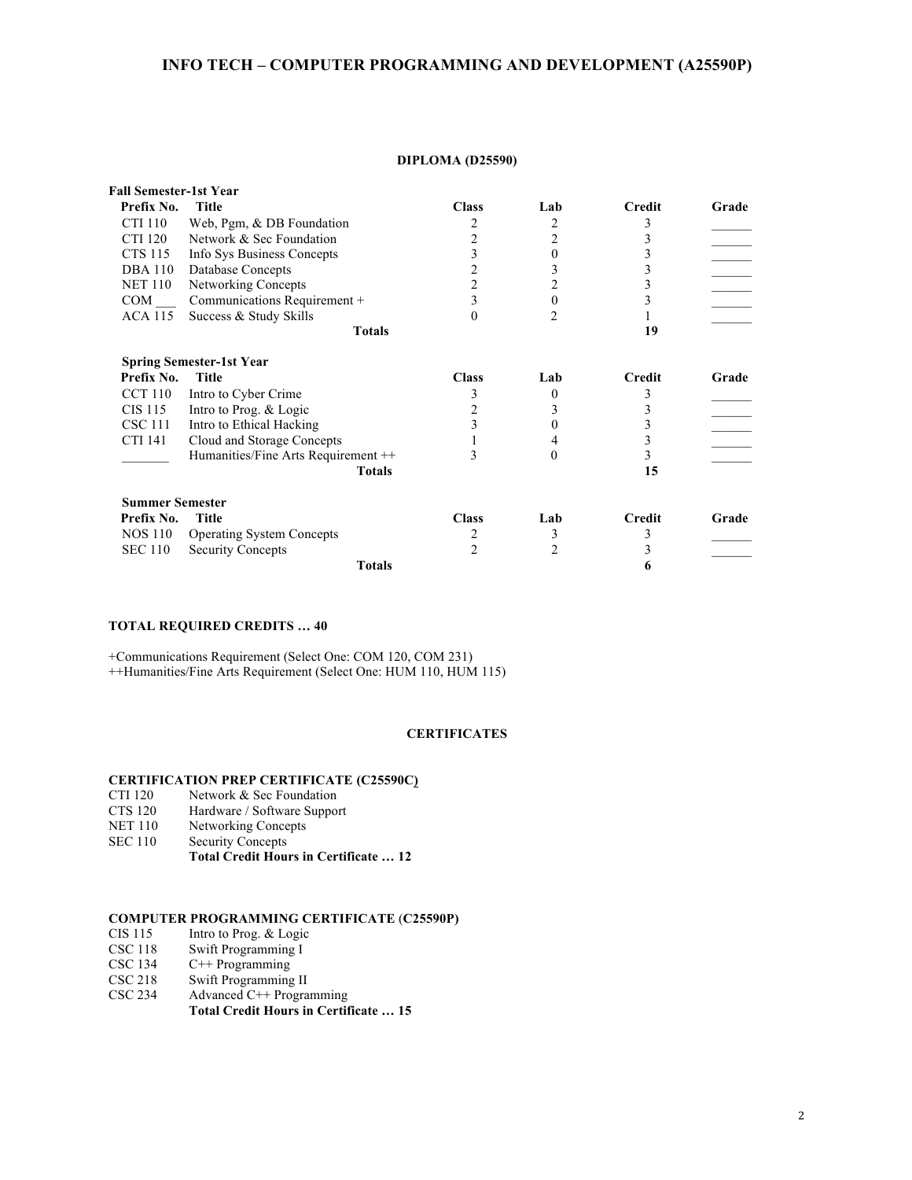## **INFO TECH – COMPUTER PROGRAMMING AND DEVELOPMENT (A25590P)**

#### **DIPLOMA (D25590)**

| <b>Fall Semester-1st Year</b> |                                     |                |                |               |       |
|-------------------------------|-------------------------------------|----------------|----------------|---------------|-------|
| Prefix No.                    | <b>Title</b>                        | <b>Class</b>   | Lab            | <b>Credit</b> | Grade |
| CTI 110                       | Web, Pgm, $&$ DB Foundation         | 2              | 2              | 3             |       |
| CTI 120                       | Network & Sec Foundation            | $\overline{2}$ | 2              | 3             |       |
| <b>CTS 115</b>                | Info Sys Business Concepts          | 3              | 0              | 3             |       |
| <b>DBA</b> 110                | Database Concepts                   | 2              | 3              | 3             |       |
| <b>NET 110</b>                | Networking Concepts                 | $\overline{2}$ | 2              | 3             |       |
| COM                           | Communications Requirement +        | 3              | 0              | 3             |       |
| <b>ACA 115</b>                | Success & Study Skills              | $\Omega$       | $\mathfrak{D}$ |               |       |
|                               | <b>Totals</b>                       |                |                | 19            |       |
|                               | <b>Spring Semester-1st Year</b>     |                |                |               |       |
| Prefix No.                    | <b>Title</b>                        | <b>Class</b>   | Lab            | <b>Credit</b> | Grade |
| <b>CCT 110</b>                | Intro to Cyber Crime                | 3              | 0              | 3             |       |
| CIS 115                       | Intro to Prog. & Logic              | 2              | 3              | 3             |       |
| <b>CSC 111</b>                | Intro to Ethical Hacking            | 3              | 0              | 3             |       |
| CTI 141                       | Cloud and Storage Concepts          |                |                | 3             |       |
|                               | Humanities/Fine Arts Requirement ++ | 3              | 0              | 3             |       |
|                               | <b>Totals</b>                       |                |                | 15            |       |
| <b>Summer Semester</b>        |                                     |                |                |               |       |
| Prefix No.                    | <b>Title</b>                        | <b>Class</b>   | Lab            | <b>Credit</b> | Grade |
| NOS 110                       | <b>Operating System Concepts</b>    | 2              | 3              | 3             |       |
| <b>SEC 110</b>                | <b>Security Concepts</b>            | 2              | 2              | 3             |       |
|                               | <b>Totals</b>                       |                |                | 6             |       |

#### **TOTAL REQUIRED CREDITS … 40**

+Communications Requirement (Select One: COM 120, COM 231) ++Humanities/Fine Arts Requirement (Select One: HUM 110, HUM 115)

#### **CERTIFICATES**

## **CERTIFICATION PREP CERTIFICATE (C25590C)**

- CTI 120 Network & Sec Foundation<br>CTS 120 Hardware / Software Suppo
- Hardware / Software Support
- NET 110 Networking Concepts
- SEC 110 Security Concepts
	- **Total Credit Hours in Certificate … 12**

# **COMPUTER PROGRAMMING CERTIFICATE** (**C25590P)**

- Intro to Prog. & Logic
- CSC 118 Swift Programming I
- CSC 134 C++ Programming
- CSC 218 Swift Programming II
- CSC 234 Advanced C++ Programming **Total Credit Hours in Certificate … 15**